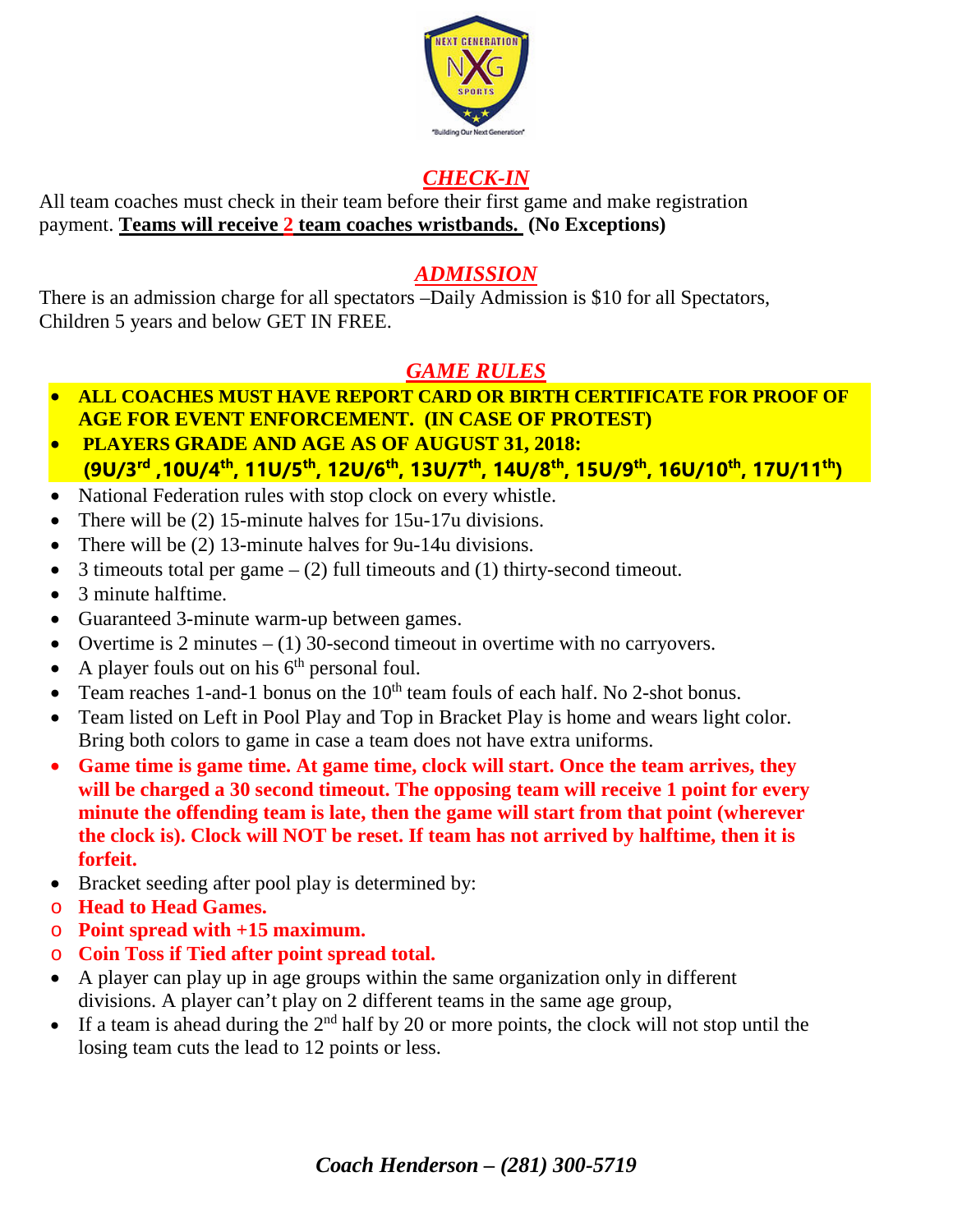

## *CHECK-IN*

All team coaches must check in their team before their first game and make registration payment. **Teams will receive 2 team coaches wristbands. (No Exceptions)**

## *ADMISSION*

There is an admission charge for all spectators –Daily Admission is \$10 for all Spectators, Children 5 years and below GET IN FREE.

## *GAME RULES*

- **ALL COACHES MUST HAVE REPORT CARD OR BIRTH CERTIFICATE FOR PROOF OF AGE FOR EVENT ENFORCEMENT. (IN CASE OF PROTEST)**
- **PLAYERS GRADE AND AGE AS OF AUGUST 31, 2018: (9U/3rd ,10U/4th, 11U/5th, 12U/6th, 13U/7th, 14U/8th, 15U/9th, 16U/10th, 17U/11th)**
- National Federation rules with stop clock on every whistle.
- There will be (2) 15-minute halves for 15u-17u divisions.
- There will be (2) 13-minute halves for 9u-14u divisions.
- 3 timeouts total per game  $-$  (2) full timeouts and (1) thirty-second timeout.
- 3 minute halftime.
- Guaranteed 3-minute warm-up between games.
- Overtime is 2 minutes  $(1)$  30-second timeout in overtime with no carryovers.
- A player fouls out on his  $6<sup>th</sup>$  personal foul.
- Team reaches 1-and-1 bonus on the  $10<sup>th</sup>$  team fouls of each half. No 2-shot bonus.
- Team listed on Left in Pool Play and Top in Bracket Play is home and wears light color. Bring both colors to game in case a team does not have extra uniforms.
- **Game time is game time. At game time, clock will start. Once the team arrives, they will be charged a 30 second timeout. The opposing team will receive 1 point for every minute the offending team is late, then the game will start from that point (wherever the clock is). Clock will NOT be reset. If team has not arrived by halftime, then it is forfeit.**
- Bracket seeding after pool play is determined by:
- o **Head to Head Games.**
- o **Point spread with +15 maximum.**
- o **Coin Toss if Tied after point spread total.**
- A player can play up in age groups within the same organization only in different divisions. A player can't play on 2 different teams in the same age group,
- If a team is ahead during the  $2<sup>nd</sup>$  half by 20 or more points, the clock will not stop until the losing team cuts the lead to 12 points or less.